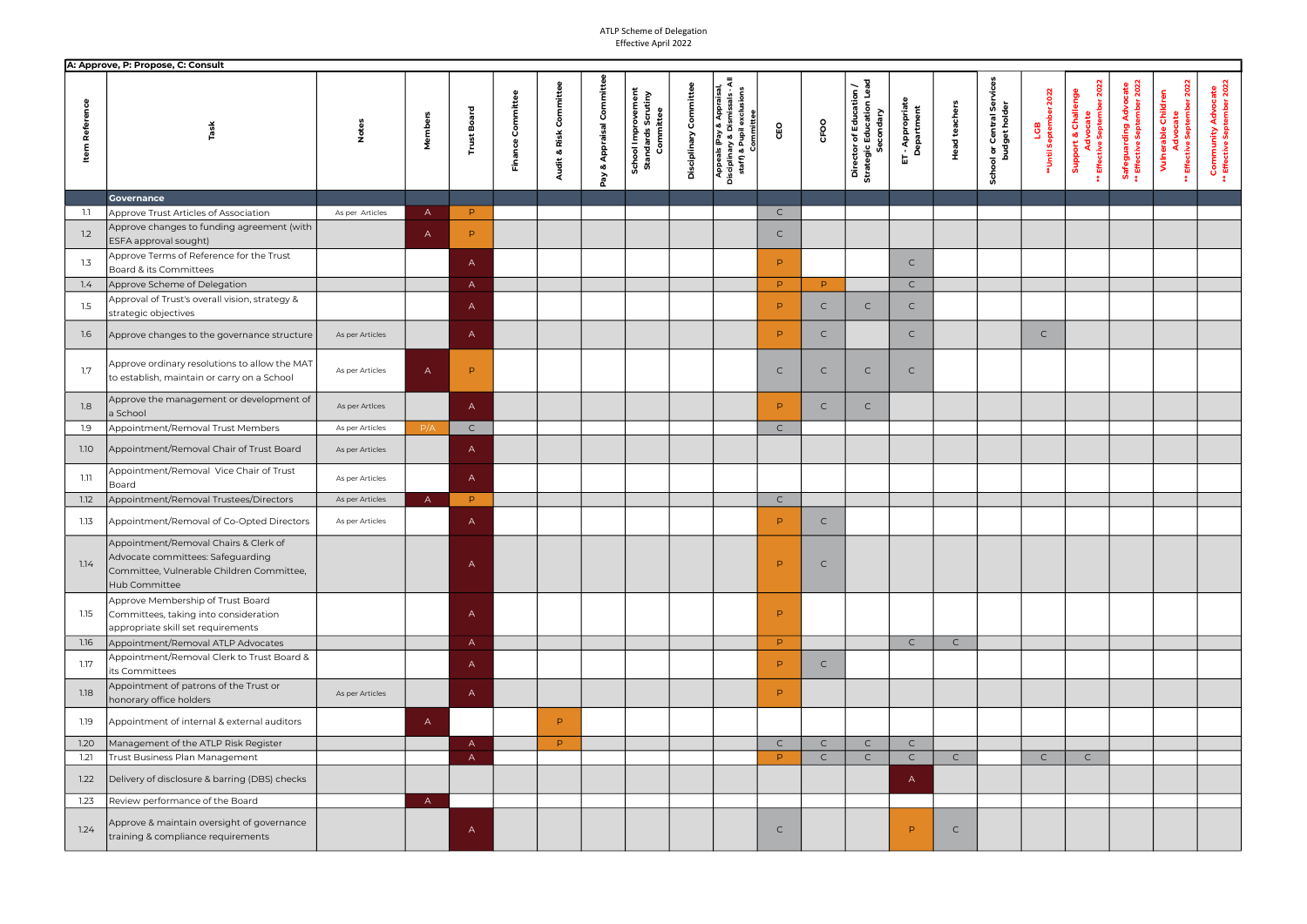|                       | A: Approve, P: Propose, C: Consult                                                                                                       |                 |              |                       |                                              |                              |                                                       |                           |                                                                                                                        |              |              |                                                                  |                                |                      |                                                                          |                                    |                                                                       |                                                              |                                                                 |                                                          |
|-----------------------|------------------------------------------------------------------------------------------------------------------------------------------|-----------------|--------------|-----------------------|----------------------------------------------|------------------------------|-------------------------------------------------------|---------------------------|------------------------------------------------------------------------------------------------------------------------|--------------|--------------|------------------------------------------------------------------|--------------------------------|----------------------|--------------------------------------------------------------------------|------------------------------------|-----------------------------------------------------------------------|--------------------------------------------------------------|-----------------------------------------------------------------|----------------------------------------------------------|
| <b>Item Reference</b> | $i$ ask                                                                                                                                  |                 | Membe        | <b>Board</b><br>Trust | udit & Risk Committe<br>Committee<br>Finance | Appraisal Committ<br>oð<br>δ | School Improvement<br>Standards Scrutiny<br>Committee | Committee<br>Disciplinary | ৱ<br>sions<br>Appraisal,<br>ន្ល<br>Appeals (Pay & Appr<br>Disciplinary & Dismiss<br>staff) & Pupil exclus<br>Committee | CEO          | CFOO         | Director of Education /<br>Strategic Education Lead<br>Secondary | ET - Appropriate<br>Department | <b>Head teachers</b> | Service<br>ol or Central Ser<br>budget holder<br>$\overline{\mathbf{c}}$ | 2022<br>LGB<br>**Until September 2 | 202<br><b>Support &amp; Challenge</b><br>Advocate<br>Effective Septem | <b>Safeguarding Advocate<br/>** Effective September 2022</b> | er 202<br>Vulnerable Children<br>Advocate<br>Effective Septembe | <b>Community Advocate</b><br>** Effective September 2022 |
|                       | <b>Governance</b>                                                                                                                        |                 |              |                       |                                              |                              |                                                       |                           |                                                                                                                        |              |              |                                                                  |                                |                      |                                                                          |                                    |                                                                       |                                                              |                                                                 |                                                          |
| 1.1                   | Approve Trust Articles of Association                                                                                                    | As per Articles | $\mathsf{A}$ | P.                    |                                              |                              |                                                       |                           |                                                                                                                        | $\mathsf{C}$ |              |                                                                  |                                |                      |                                                                          |                                    |                                                                       |                                                              |                                                                 |                                                          |
| 1.2                   | Approve changes to funding agreement (with<br>ESFA approval sought)                                                                      |                 | $\mathsf{A}$ | P.                    |                                              |                              |                                                       |                           |                                                                                                                        | $\mathsf{C}$ |              |                                                                  |                                |                      |                                                                          |                                    |                                                                       |                                                              |                                                                 |                                                          |
| 1.3                   | Approve Terms of Reference for the Trust<br>Board & its Committees                                                                       |                 |              | $\mathsf{A}$          |                                              |                              |                                                       |                           |                                                                                                                        | P.           |              |                                                                  | $\mathsf{C}$                   |                      |                                                                          |                                    |                                                                       |                                                              |                                                                 |                                                          |
| 1.4                   | Approve Scheme of Delegation                                                                                                             |                 |              | $\mathsf{A}$          |                                              |                              |                                                       |                           |                                                                                                                        | P.           | P.           |                                                                  | $\mathsf{C}$                   |                      |                                                                          |                                    |                                                                       |                                                              |                                                                 |                                                          |
| 1.5                   | Approval of Trust's overall vision, strategy &<br>strategic objectives                                                                   |                 |              | $\mathsf{A}$          |                                              |                              |                                                       |                           |                                                                                                                        | P.           | $\mathsf{C}$ | $\mathsf{C}$                                                     | $\mathsf{C}$                   |                      |                                                                          |                                    |                                                                       |                                                              |                                                                 |                                                          |
| 1.6                   | Approve changes to the governance structure                                                                                              | As per Articles |              | $\mathsf{A}$          |                                              |                              |                                                       |                           |                                                                                                                        | P.           | $\mathsf{C}$ |                                                                  | $\mathsf{C}$                   |                      |                                                                          | $\mathsf{C}$                       |                                                                       |                                                              |                                                                 |                                                          |
| 1.7                   | Approve ordinary resolutions to allow the MAT<br>to establish, maintain or carry on a School                                             | As per Articles | $\mathsf{A}$ | P                     |                                              |                              |                                                       |                           |                                                                                                                        | $\mathsf{C}$ | C            | $\mathsf{C}$                                                     | $\mathsf{C}$                   |                      |                                                                          |                                    |                                                                       |                                                              |                                                                 |                                                          |
| 1.8                   | Approve the management or development of<br>a School                                                                                     | As per Artices  |              | $\mathsf{A}$          |                                              |                              |                                                       |                           |                                                                                                                        | P.           | $\mathsf{C}$ | $\mathsf{C}$                                                     |                                |                      |                                                                          |                                    |                                                                       |                                                              |                                                                 |                                                          |
| 1.9                   | Appointment/Removal Trust Members                                                                                                        | As per Articles | P/A          | $\mathsf{C}$          |                                              |                              |                                                       |                           |                                                                                                                        | $\mathsf{C}$ |              |                                                                  |                                |                      |                                                                          |                                    |                                                                       |                                                              |                                                                 |                                                          |
| 1.10                  | Appointment/Removal Chair of Trust Board                                                                                                 | As per Articles |              | $\mathsf{A}$          |                                              |                              |                                                       |                           |                                                                                                                        |              |              |                                                                  |                                |                      |                                                                          |                                    |                                                                       |                                                              |                                                                 |                                                          |
| 1.11                  | Appointment/Removal Vice Chair of Trust<br>Board                                                                                         | As per Articles |              | $\mathsf{A}$          |                                              |                              |                                                       |                           |                                                                                                                        |              |              |                                                                  |                                |                      |                                                                          |                                    |                                                                       |                                                              |                                                                 |                                                          |
| 1.12                  | Appointment/Removal Trustees/Directors                                                                                                   | As per Articles | $\mathsf{A}$ | P.                    |                                              |                              |                                                       |                           |                                                                                                                        | $\mathsf{C}$ |              |                                                                  |                                |                      |                                                                          |                                    |                                                                       |                                                              |                                                                 |                                                          |
| 1.13                  | Appointment/Removal of Co-Opted Directors                                                                                                | As per Articles |              | $\mathsf{A}$          |                                              |                              |                                                       |                           |                                                                                                                        | P.           | $\mathsf{C}$ |                                                                  |                                |                      |                                                                          |                                    |                                                                       |                                                              |                                                                 |                                                          |
| 1.14                  | Appointment/Removal Chairs & Clerk of<br>Advocate committees: Safeguarding<br>Committee, Vulnerable Children Committee,<br>Hub Committee |                 |              | A                     |                                              |                              |                                                       |                           |                                                                                                                        | $\mathsf{D}$ | C            |                                                                  |                                |                      |                                                                          |                                    |                                                                       |                                                              |                                                                 |                                                          |
| 1.15                  | Approve Membership of Trust Board<br>Committees, taking into consideration<br>appropriate skill set requirements                         |                 |              | $\mathsf{A}$          |                                              |                              |                                                       |                           |                                                                                                                        | P.           |              |                                                                  |                                |                      |                                                                          |                                    |                                                                       |                                                              |                                                                 |                                                          |
| 1.16                  | Appointment/Removal ATLP Advocates                                                                                                       |                 |              | $\mathsf{A}$          |                                              |                              |                                                       |                           |                                                                                                                        | P.           |              |                                                                  | $\mathsf{C}$                   | $\mathsf{C}$         |                                                                          |                                    |                                                                       |                                                              |                                                                 |                                                          |
| 1.17                  | Appointment/Removal Clerk to Trust Board &<br>its Committees                                                                             |                 |              | $\overline{A}$        |                                              |                              |                                                       |                           |                                                                                                                        | P.           | $\mathsf{C}$ |                                                                  |                                |                      |                                                                          |                                    |                                                                       |                                                              |                                                                 |                                                          |
| 1.18                  | Appointment of patrons of the Trust or<br>honorary office holders                                                                        | As per Articles |              | $\mathsf{A}$          |                                              |                              |                                                       |                           |                                                                                                                        | P            |              |                                                                  |                                |                      |                                                                          |                                    |                                                                       |                                                              |                                                                 |                                                          |
| 1.19                  | Appointment of internal & external auditors                                                                                              |                 | $\mathsf{A}$ |                       | P.                                           |                              |                                                       |                           |                                                                                                                        |              |              |                                                                  |                                |                      |                                                                          |                                    |                                                                       |                                                              |                                                                 |                                                          |
| 1.20                  | Management of the ATLP Risk Register                                                                                                     |                 |              | $\mathsf{A}$          | P                                            |                              |                                                       |                           |                                                                                                                        | $\mathsf C$  | $\mathsf{C}$ | $\mathsf{C}$                                                     | $\mathsf{C}$                   |                      |                                                                          |                                    |                                                                       |                                                              |                                                                 |                                                          |
| 1.21                  | Trust Business Plan Management                                                                                                           |                 |              | $\overline{A}$        |                                              |                              |                                                       |                           |                                                                                                                        | P.           | $\mathsf{C}$ | $\mathsf{C}$                                                     | $\mathsf{C}$                   | $\mathsf{C}$         |                                                                          | $\mathsf{C}$                       | $\mathsf{C}$                                                          |                                                              |                                                                 |                                                          |
| 1.22                  | Delivery of disclosure & barring (DBS) checks                                                                                            |                 |              |                       |                                              |                              |                                                       |                           |                                                                                                                        |              |              |                                                                  | $\mathsf{A}$                   |                      |                                                                          |                                    |                                                                       |                                                              |                                                                 |                                                          |
| 1.23                  | Review performance of the Board                                                                                                          |                 | $\mathsf{A}$ |                       |                                              |                              |                                                       |                           |                                                                                                                        |              |              |                                                                  |                                |                      |                                                                          |                                    |                                                                       |                                                              |                                                                 |                                                          |
| 1.24                  | Approve & maintain oversight of governance<br>training & compliance requirements                                                         |                 |              | $\mathsf{A}$          |                                              |                              |                                                       |                           |                                                                                                                        | $\mathsf C$  |              |                                                                  | P.                             | $\mathsf{C}$         |                                                                          |                                    |                                                                       |                                                              |                                                                 |                                                          |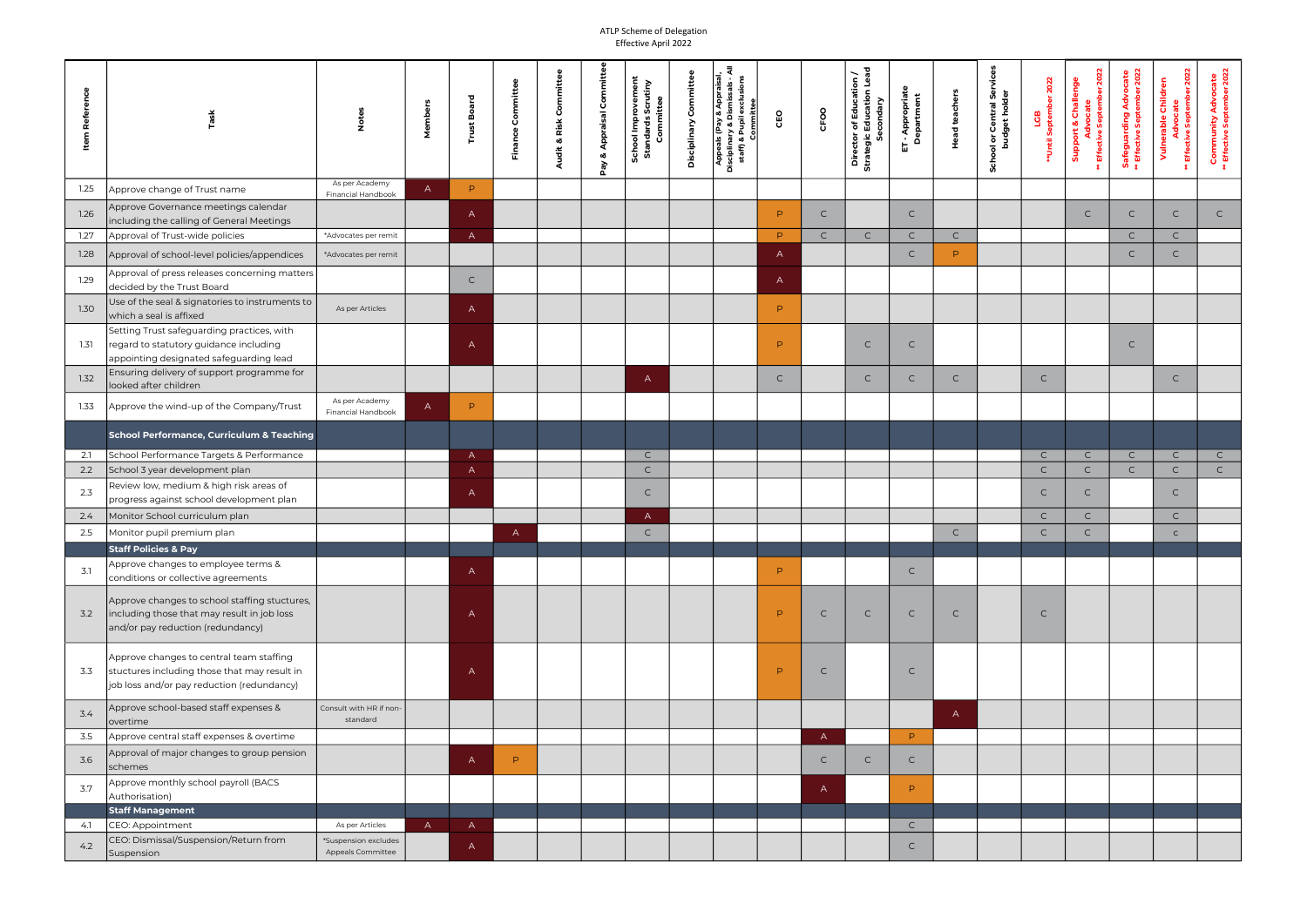| Item Refere |                                                                                                                                        |                                           | Membe        | 고<br>န္တ<br>Trust | Committee<br>Finance | Audit & Risk Committee | Commit<br>Appraisal<br>œ<br>λg | <b>School Improvement</b><br>Standards Scrutiny<br>Committee | Committee<br>Disciplinary | ₹<br>Appeals (Pay & Appraisal,<br>Disciplinary & Dismissals - A<br>staff) & Pupil exclusions<br>Committee | CEO          | CFOO         | Director of Education /<br>Strategic Education Lea<br>jic Education I<br>Secondary | ET - Appropriate<br>Department | <b>Head teachers</b> | ຮັ<br>ol or Central Ser<br>budget holder<br>$\overline{\mathsf{o}}$ | 2022<br>LGB<br>#Until Septeml | 2022<br><b>Support &amp; Challenge</b><br>Advocate<br>Effective September | <b>Safeguarding Advocate</b><br>** Effective September 2022 | dvocate<br>• September 2022<br>Vulnerable Children<br><b>Advo</b><br>Effective | <b>Community Advocate</b><br>** Effective September 2022 |  |
|-------------|----------------------------------------------------------------------------------------------------------------------------------------|-------------------------------------------|--------------|-------------------|----------------------|------------------------|--------------------------------|--------------------------------------------------------------|---------------------------|-----------------------------------------------------------------------------------------------------------|--------------|--------------|------------------------------------------------------------------------------------|--------------------------------|----------------------|---------------------------------------------------------------------|-------------------------------|---------------------------------------------------------------------------|-------------------------------------------------------------|--------------------------------------------------------------------------------|----------------------------------------------------------|--|
| 1.25        | Approve change of Trust name                                                                                                           | As per Academy<br>Financial Handbook      | $\mathsf{A}$ | P                 |                      |                        |                                |                                                              |                           |                                                                                                           |              |              |                                                                                    |                                |                      |                                                                     |                               |                                                                           |                                                             |                                                                                |                                                          |  |
| 1.26        | Approve Governance meetings calendar<br>including the calling of General Meetings                                                      |                                           |              | $\mathsf{A}$      |                      |                        |                                |                                                              |                           |                                                                                                           | P.           | $\mathsf{C}$ |                                                                                    | $\mathsf{C}$                   |                      |                                                                     |                               | $\mathsf{C}$                                                              | $\mathsf{C}$                                                | $\mathsf{C}$                                                                   | $\mathsf{C}$                                             |  |
| 1.27        | Approval of Trust-wide policies                                                                                                        | *Advocates per remit                      |              | $\mathsf{A}$      |                      |                        |                                |                                                              |                           |                                                                                                           | P.           | $\mathsf{C}$ | $\mathsf{C}$                                                                       | $\mathsf{C}$                   | $\mathsf{C}$         |                                                                     |                               |                                                                           | $\mathsf{C}$                                                | $\mathsf{C}$                                                                   |                                                          |  |
| 1.28        | Approval of school-level policies/appendices                                                                                           | *Advocates per remit                      |              |                   |                      |                        |                                |                                                              |                           |                                                                                                           | $\mathsf{A}$ |              |                                                                                    | $\mathsf{C}$                   | P                    |                                                                     |                               |                                                                           | $\mathsf{C}$                                                | $\mathsf{C}$                                                                   |                                                          |  |
| 1.29        | Approval of press releases concerning matters $\vert$<br>decided by the Trust Board                                                    |                                           |              | $\mathsf{C}$      |                      |                        |                                |                                                              |                           |                                                                                                           | $\mathsf{A}$ |              |                                                                                    |                                |                      |                                                                     |                               |                                                                           |                                                             |                                                                                |                                                          |  |
| 1.30        | Use of the seal & signatories to instruments to<br>which a seal is affixed                                                             | As per Articles                           |              | $\mathsf{A}$      |                      |                        |                                |                                                              |                           |                                                                                                           | P.           |              |                                                                                    |                                |                      |                                                                     |                               |                                                                           |                                                             |                                                                                |                                                          |  |
| 1.31        | Setting Trust safeguarding practices, with<br>regard to statutory guidance including<br>appointing designated safeguarding lead        |                                           |              | $\mathsf{A}$      |                      |                        |                                |                                                              |                           |                                                                                                           | P.           |              | $\mathsf{C}$                                                                       | $\mathsf{C}$                   |                      |                                                                     |                               |                                                                           | $\mathsf{C}$                                                |                                                                                |                                                          |  |
| 1.32        | Ensuring delivery of support programme for<br>looked after children                                                                    |                                           |              |                   |                      |                        |                                | $\mathsf{A}$                                                 |                           |                                                                                                           | $\mathsf{C}$ |              | $\mathsf{C}$                                                                       | $\mathsf{C}$                   | $\mathsf{C}$         |                                                                     | $\mathsf{C}$                  |                                                                           |                                                             | $\mathsf{C}$                                                                   |                                                          |  |
| 1.33        | Approve the wind-up of the Company/Trust                                                                                               | As per Academy<br>Financial Handbook      | $\mathsf{A}$ | P.                |                      |                        |                                |                                                              |                           |                                                                                                           |              |              |                                                                                    |                                |                      |                                                                     |                               |                                                                           |                                                             |                                                                                |                                                          |  |
|             | School Performance, Curriculum & Teaching                                                                                              |                                           |              |                   |                      |                        |                                |                                                              |                           |                                                                                                           |              |              |                                                                                    |                                |                      |                                                                     |                               |                                                                           |                                                             |                                                                                |                                                          |  |
| 2.1         | School Performance Targets & Performance                                                                                               |                                           |              | $\mathsf{A}$      |                      |                        |                                | $\mathsf{C}$                                                 |                           |                                                                                                           |              |              |                                                                                    |                                |                      |                                                                     | $\mathsf{C}$                  | $\mathsf{C}$                                                              | $\mathsf{C}$                                                | $\mathsf{C}$                                                                   | $\mathsf{C}$                                             |  |
| 2.2         | School 3 year development plan                                                                                                         |                                           |              | $\mathsf{A}$      |                      |                        |                                | $\mathsf{C}$                                                 |                           |                                                                                                           |              |              |                                                                                    |                                |                      |                                                                     | $\mathsf{C}$                  | $\mathsf{C}$                                                              | $\mathsf{C}$                                                | $\mathsf{C}$                                                                   | $\mathsf{C}$                                             |  |
| 2.3         | Review low, medium & high risk areas of<br>progress against school development plan                                                    |                                           |              | $\mathsf{A}$      |                      |                        |                                | $\mathsf{C}$                                                 |                           |                                                                                                           |              |              |                                                                                    |                                |                      |                                                                     | $\mathsf{C}$                  | $\mathsf{C}$                                                              |                                                             | $\mathsf{C}$                                                                   |                                                          |  |
| 2.4         | Monitor School curriculum plan                                                                                                         |                                           |              |                   |                      |                        |                                | $\mathsf{A}$                                                 |                           |                                                                                                           |              |              |                                                                                    |                                |                      |                                                                     | $\mathsf{C}$                  | $\mathsf{C}$                                                              |                                                             | $\mathsf{C}$                                                                   |                                                          |  |
| 2.5         | Monitor pupil premium plan                                                                                                             |                                           |              |                   | A                    |                        |                                | $\mathsf{C}$                                                 |                           |                                                                                                           |              |              |                                                                                    |                                | $\mathsf{C}$         |                                                                     | $\mathsf{C}$                  | $\mathsf{C}$                                                              |                                                             | $\mathsf{C}$                                                                   |                                                          |  |
|             | <b>Staff Policies &amp; Pay</b>                                                                                                        |                                           |              |                   |                      |                        |                                |                                                              |                           |                                                                                                           |              |              |                                                                                    |                                |                      |                                                                     |                               |                                                                           |                                                             |                                                                                |                                                          |  |
| 3.1         | Approve changes to employee terms &<br>conditions or collective agreements                                                             |                                           |              | A                 |                      |                        |                                |                                                              |                           |                                                                                                           | P.           |              |                                                                                    | $\mathsf{C}$                   |                      |                                                                     |                               |                                                                           |                                                             |                                                                                |                                                          |  |
| 3.2         | Approve changes to school staffing stuctures,<br>including those that may result in job loss<br>and/or pay reduction (redundancy)      |                                           |              | A                 |                      |                        |                                |                                                              |                           |                                                                                                           | P.           | $\mathsf{C}$ | $\mathsf{C}$                                                                       | $\mathsf{C}$                   | $\mathsf{C}$         |                                                                     | $\mathsf{C}$                  |                                                                           |                                                             |                                                                                |                                                          |  |
| 3.3         | Approve changes to central team staffing<br>stuctures including those that may result in<br>job loss and/or pay reduction (redundancy) |                                           |              | $\overline{A}$    |                      |                        |                                |                                                              |                           |                                                                                                           | P            | $\mathsf{C}$ |                                                                                    | $\mathsf{C}$                   |                      |                                                                     |                               |                                                                           |                                                             |                                                                                |                                                          |  |
| 3.4         | Approve school-based staff expenses &<br>overtime                                                                                      | Consult with HR if non-<br>standard       |              |                   |                      |                        |                                |                                                              |                           |                                                                                                           |              |              |                                                                                    |                                | $\mathsf{A}$         |                                                                     |                               |                                                                           |                                                             |                                                                                |                                                          |  |
| 3.5         | Approve central staff expenses & overtime                                                                                              |                                           |              |                   |                      |                        |                                |                                                              |                           |                                                                                                           |              | $\mathsf{A}$ |                                                                                    | P.                             |                      |                                                                     |                               |                                                                           |                                                             |                                                                                |                                                          |  |
| 3.6         | Approval of major changes to group pension<br>schemes                                                                                  |                                           |              | $\mathsf{A}$      | P                    |                        |                                |                                                              |                           |                                                                                                           |              | C            | $\mathsf{C}$                                                                       | $\mathsf{C}$                   |                      |                                                                     |                               |                                                                           |                                                             |                                                                                |                                                          |  |
| 3.7         | Approve monthly school payroll (BACS<br>Authorisation)                                                                                 |                                           |              |                   |                      |                        |                                |                                                              |                           |                                                                                                           |              | $\mathsf{A}$ |                                                                                    | P.                             |                      |                                                                     |                               |                                                                           |                                                             |                                                                                |                                                          |  |
|             | <b>Staff Management</b>                                                                                                                |                                           |              |                   |                      |                        |                                |                                                              |                           |                                                                                                           |              |              |                                                                                    |                                |                      |                                                                     |                               |                                                                           |                                                             |                                                                                |                                                          |  |
| 4.1         | CEO: Appointment                                                                                                                       | As per Articles                           | $\mathsf{A}$ | $\mathsf{A}$      |                      |                        |                                |                                                              |                           |                                                                                                           |              |              |                                                                                    | $\mathsf{C}$                   |                      |                                                                     |                               |                                                                           |                                                             |                                                                                |                                                          |  |
| 4.2         | CEO: Dismissal/Suspension/Return from<br>Suspension                                                                                    | *Suspension excludes<br>Appeals Committee |              | $\mathsf{A}$      |                      |                        |                                |                                                              |                           |                                                                                                           |              |              |                                                                                    | $\mathsf{C}$                   |                      |                                                                     |                               |                                                                           |                                                             |                                                                                |                                                          |  |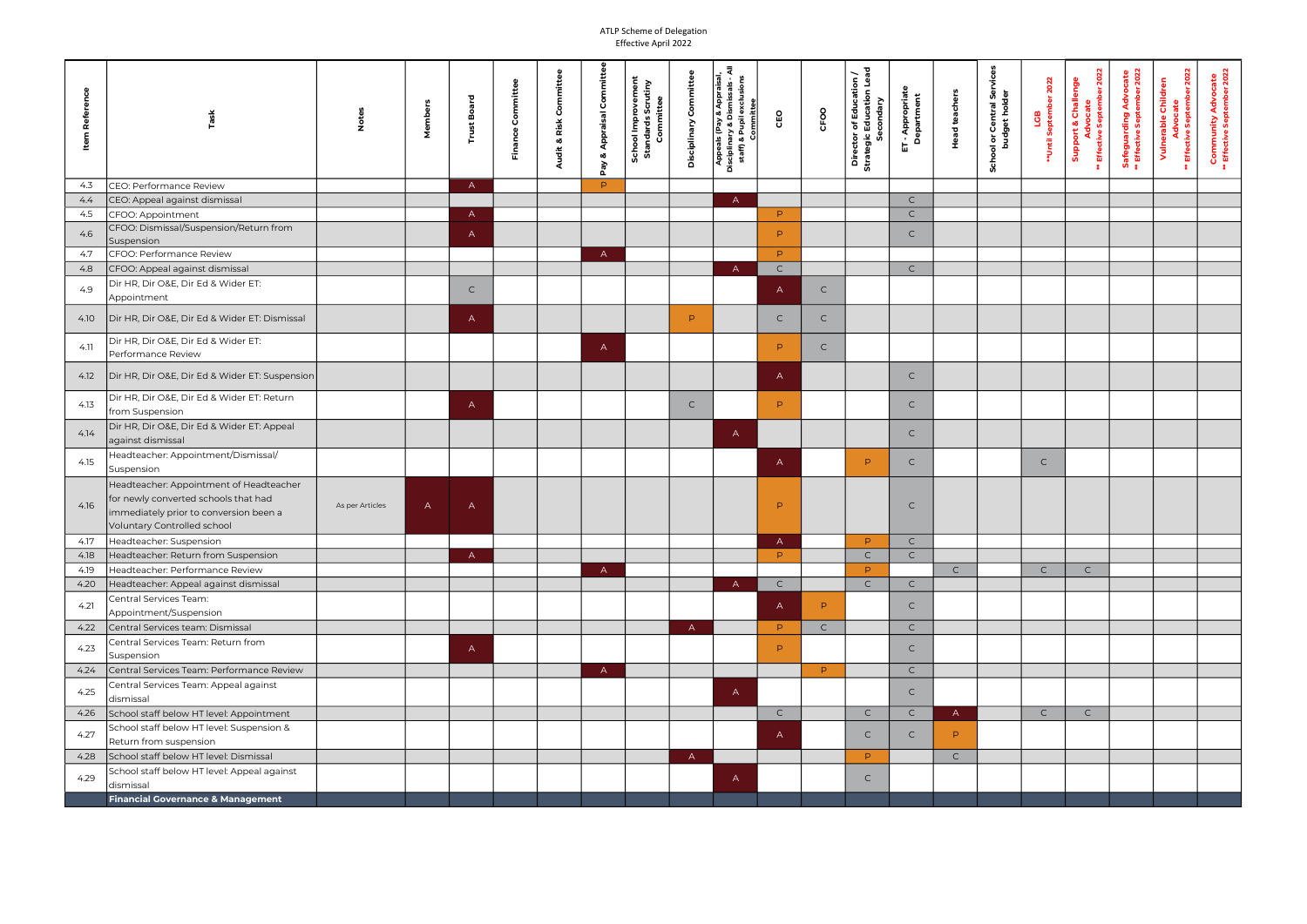|               |                                                                                                                                                          |                 |              |              |                      |                                     |                            |                                                              |                          | ৱ                                                                                                                                            |              |              |                                                                                   |                                           |                      |                                                                      |                              |                                                                        |                                                            |                                                                       |                                                                |
|---------------|----------------------------------------------------------------------------------------------------------------------------------------------------------|-----------------|--------------|--------------|----------------------|-------------------------------------|----------------------------|--------------------------------------------------------------|--------------------------|----------------------------------------------------------------------------------------------------------------------------------------------|--------------|--------------|-----------------------------------------------------------------------------------|-------------------------------------------|----------------------|----------------------------------------------------------------------|------------------------------|------------------------------------------------------------------------|------------------------------------------------------------|-----------------------------------------------------------------------|----------------------------------------------------------------|
| Item Referenc | Task                                                                                                                                                     |                 | Membe        | န္ထ          | Committee<br>Finance | Committee<br>& Risk<br><b>Audit</b> | <b>Appraisal Con</b><br>න් | <b>School Improvement</b><br>Standards Scrutiny<br>Committee | Committe<br>Disciplinary | y & Appraisal,<br>Dismissals - A<br>nary & Dismissals - A<br>& Pupil exclusions<br>Committee<br>Appeals (Pay<br>Disciplinary & D<br>staff) & | CEO          | CFOO         | Director of Education /<br>Strategic Education Leae<br>Education<br>condary<br>ပိ | <b>T</b> - Appropriato<br>Department<br>品 | <b>Head teachers</b> | မ္တီ<br>or Central Sei<br>pudget holder<br>$\overline{\sigma}$<br>ੁਰ | 2022<br>LGB<br>**Until Septe | September 2022<br><b>Support &amp; Challenge</b><br>cate<br>Effective: | <b>Safeguarding Advocate<br/>* Effective September 202</b> | <b>Jvocate<br/>September 2022</b><br>Vulnerable Children<br>Effective | Advocate<br>otember 2022<br>Community<br>* Effective Sept<br>类 |
| 4.3           | CEO: Performance Review                                                                                                                                  |                 |              | $\mathsf{A}$ |                      |                                     | P.                         |                                                              |                          |                                                                                                                                              |              |              |                                                                                   |                                           |                      |                                                                      |                              |                                                                        |                                                            |                                                                       |                                                                |
| 4.4           | CEO: Appeal against dismissal                                                                                                                            |                 |              |              |                      |                                     |                            |                                                              |                          | $\mathsf{A}$                                                                                                                                 |              |              |                                                                                   | $\mathsf{C}$                              |                      |                                                                      |                              |                                                                        |                                                            |                                                                       |                                                                |
| 4.5           | CFOO: Appointment                                                                                                                                        |                 |              | $\mathsf{A}$ |                      |                                     |                            |                                                              |                          |                                                                                                                                              | P.           |              |                                                                                   | $\mathsf{C}$                              |                      |                                                                      |                              |                                                                        |                                                            |                                                                       |                                                                |
| 4.6           | CFOO: Dismissal/Suspension/Return from<br>Suspension                                                                                                     |                 |              | $\mathsf{A}$ |                      |                                     |                            |                                                              |                          |                                                                                                                                              | P.           |              |                                                                                   | $\mathsf{C}$                              |                      |                                                                      |                              |                                                                        |                                                            |                                                                       |                                                                |
| 4.7           | CFOO: Performance Review                                                                                                                                 |                 |              |              |                      |                                     | $\mathsf{A}$               |                                                              |                          |                                                                                                                                              | P.           |              |                                                                                   |                                           |                      |                                                                      |                              |                                                                        |                                                            |                                                                       |                                                                |
| 4.8           | CFOO: Appeal against dismissal                                                                                                                           |                 |              |              |                      |                                     |                            |                                                              |                          | $\overline{A}$                                                                                                                               | $\mathsf C$  |              |                                                                                   | $\mathsf{C}$                              |                      |                                                                      |                              |                                                                        |                                                            |                                                                       |                                                                |
| 4.9           | Dir HR, Dir O&E, Dir Ed & Wider ET:<br>Appointment                                                                                                       |                 |              | C.           |                      |                                     |                            |                                                              |                          |                                                                                                                                              | $\mathsf{A}$ | $\mathsf{C}$ |                                                                                   |                                           |                      |                                                                      |                              |                                                                        |                                                            |                                                                       |                                                                |
| 4.10          | Dir HR, Dir O&E, Dir Ed & Wider ET: Dismissal                                                                                                            |                 |              | $\mathsf{A}$ |                      |                                     |                            |                                                              | P.                       |                                                                                                                                              | $\mathsf{C}$ | $\mathsf{C}$ |                                                                                   |                                           |                      |                                                                      |                              |                                                                        |                                                            |                                                                       |                                                                |
| 4.11          | Dir HR, Dir O&E, Dir Ed & Wider ET:<br>Performance Review                                                                                                |                 |              |              |                      |                                     | $\mathsf{A}$               |                                                              |                          |                                                                                                                                              | P.           | $\mathsf{C}$ |                                                                                   |                                           |                      |                                                                      |                              |                                                                        |                                                            |                                                                       |                                                                |
| 4.12          | Dir HR, Dir O&E, Dir Ed & Wider ET: Suspension                                                                                                           |                 |              |              |                      |                                     |                            |                                                              |                          |                                                                                                                                              | $\mathsf{A}$ |              |                                                                                   | $\mathsf{C}$                              |                      |                                                                      |                              |                                                                        |                                                            |                                                                       |                                                                |
| 4.13          | Dir HR, Dir O&E, Dir Ed & Wider ET: Return                                                                                                               |                 |              | $\mathsf{A}$ |                      |                                     |                            |                                                              | $\mathsf{C}$             |                                                                                                                                              | P.           |              |                                                                                   | $\mathsf{C}$                              |                      |                                                                      |                              |                                                                        |                                                            |                                                                       |                                                                |
|               | from Suspension                                                                                                                                          |                 |              |              |                      |                                     |                            |                                                              |                          |                                                                                                                                              |              |              |                                                                                   |                                           |                      |                                                                      |                              |                                                                        |                                                            |                                                                       |                                                                |
| 4.14          | Dir HR, Dir O&E, Dir Ed & Wider ET: Appeal<br>against dismissal                                                                                          |                 |              |              |                      |                                     |                            |                                                              |                          | $\mathsf{A}$                                                                                                                                 |              |              |                                                                                   | $\mathsf{C}$                              |                      |                                                                      |                              |                                                                        |                                                            |                                                                       |                                                                |
| 4.15          | Headteacher: Appointment/Dismissal/<br>Suspension                                                                                                        |                 |              |              |                      |                                     |                            |                                                              |                          |                                                                                                                                              | $\mathsf{A}$ |              | P.                                                                                | $\mathsf{C}$                              |                      |                                                                      | $\mathsf{C}$                 |                                                                        |                                                            |                                                                       |                                                                |
| 4.16          | Headteacher: Appointment of Headteacher<br>for newly converted schools that had<br>immediately prior to conversion been a<br>Voluntary Controlled school | As per Articles | $\mathsf{A}$ | $\mathsf{A}$ |                      |                                     |                            |                                                              |                          |                                                                                                                                              | P            |              |                                                                                   | $\mathsf{C}$                              |                      |                                                                      |                              |                                                                        |                                                            |                                                                       |                                                                |
| 4.17          | Headteacher: Suspension                                                                                                                                  |                 |              |              |                      |                                     |                            |                                                              |                          |                                                                                                                                              | $\mathsf{A}$ |              | P                                                                                 | $\mathsf{C}$                              |                      |                                                                      |                              |                                                                        |                                                            |                                                                       |                                                                |
| 4.18          | Headteacher: Return from Suspension                                                                                                                      |                 |              | $\mathsf{A}$ |                      |                                     |                            |                                                              |                          |                                                                                                                                              | P            |              |                                                                                   | $\mathsf{C}$                              |                      |                                                                      |                              |                                                                        |                                                            |                                                                       |                                                                |
| 4.19          | Headteacher: Performance Review                                                                                                                          |                 |              |              |                      |                                     | $\mathsf{A}$               |                                                              |                          |                                                                                                                                              |              |              | D.                                                                                |                                           | $\mathsf{C}$         |                                                                      | $\mathsf{C}$                 | $\mathsf{C}$                                                           |                                                            |                                                                       |                                                                |
| 4.20          | Headteacher: Appeal against dismissal                                                                                                                    |                 |              |              |                      |                                     |                            |                                                              |                          | $\overline{A}$                                                                                                                               | $\mathsf{C}$ |              | $\mathsf{C}$                                                                      | $\mathsf{C}$                              |                      |                                                                      |                              |                                                                        |                                                            |                                                                       |                                                                |
| 4.21          | Central Services Team:<br>Appointment/Suspension                                                                                                         |                 |              |              |                      |                                     |                            |                                                              |                          |                                                                                                                                              | $\mathsf{A}$ | P.           |                                                                                   | $\mathsf{C}$                              |                      |                                                                      |                              |                                                                        |                                                            |                                                                       |                                                                |
| 4.22          | Central Services team: Dismissal                                                                                                                         |                 |              |              |                      |                                     |                            |                                                              | $\overline{A}$           |                                                                                                                                              | P.           | $\mathsf{C}$ |                                                                                   | $\mathsf{C}$                              |                      |                                                                      |                              |                                                                        |                                                            |                                                                       |                                                                |
| 4.23          | Central Services Team: Return from<br>Suspension                                                                                                         |                 |              | A            |                      |                                     |                            |                                                              |                          |                                                                                                                                              | P.           |              |                                                                                   | $\mathsf{C}$                              |                      |                                                                      |                              |                                                                        |                                                            |                                                                       |                                                                |
| 4.24          | Central Services Team: Performance Review                                                                                                                |                 |              |              |                      |                                     | $\mathsf{A}$               |                                                              |                          |                                                                                                                                              |              | P.           |                                                                                   | $\mathsf{C}$                              |                      |                                                                      |                              |                                                                        |                                                            |                                                                       |                                                                |
| 4.25          | Central Services Team: Appeal against<br>dismissal                                                                                                       |                 |              |              |                      |                                     |                            |                                                              |                          | $\mathsf{A}$                                                                                                                                 |              |              |                                                                                   | $\mathsf{C}$                              |                      |                                                                      |                              |                                                                        |                                                            |                                                                       |                                                                |
| 4.26          | School staff below HT level: Appointment                                                                                                                 |                 |              |              |                      |                                     |                            |                                                              |                          |                                                                                                                                              | $\mathsf{C}$ |              | $\mathsf{C}$                                                                      | $\mathsf{C}$                              | $\mathsf{A}$         |                                                                      | $\mathsf{C}$                 | $\mathsf{C}$                                                           |                                                            |                                                                       |                                                                |
| 4.27          | School staff below HT level: Suspension &<br>Return from suspension                                                                                      |                 |              |              |                      |                                     |                            |                                                              |                          |                                                                                                                                              | $\mathsf{A}$ |              | $\mathsf{C}$                                                                      | $\mathsf{C}$                              | P.                   |                                                                      |                              |                                                                        |                                                            |                                                                       |                                                                |
| 4.28          | School staff below HT level: Dismissal                                                                                                                   |                 |              |              |                      |                                     |                            |                                                              | $\mathsf{A}$             |                                                                                                                                              |              |              | P.                                                                                |                                           | $\mathsf{C}$         |                                                                      |                              |                                                                        |                                                            |                                                                       |                                                                |
| 4.29          | School staff below HT level: Appeal against                                                                                                              |                 |              |              |                      |                                     |                            |                                                              |                          | $\mathsf{A}$                                                                                                                                 |              |              | $\mathsf{C}$                                                                      |                                           |                      |                                                                      |                              |                                                                        |                                                            |                                                                       |                                                                |
|               | dismissal                                                                                                                                                |                 |              |              |                      |                                     |                            |                                                              |                          |                                                                                                                                              |              |              |                                                                                   |                                           |                      |                                                                      |                              |                                                                        |                                                            |                                                                       |                                                                |
|               | <b>Financial Governance &amp; Management</b>                                                                                                             |                 |              |              |                      |                                     |                            |                                                              |                          |                                                                                                                                              |              |              |                                                                                   |                                           |                      |                                                                      |                              |                                                                        |                                                            |                                                                       |                                                                |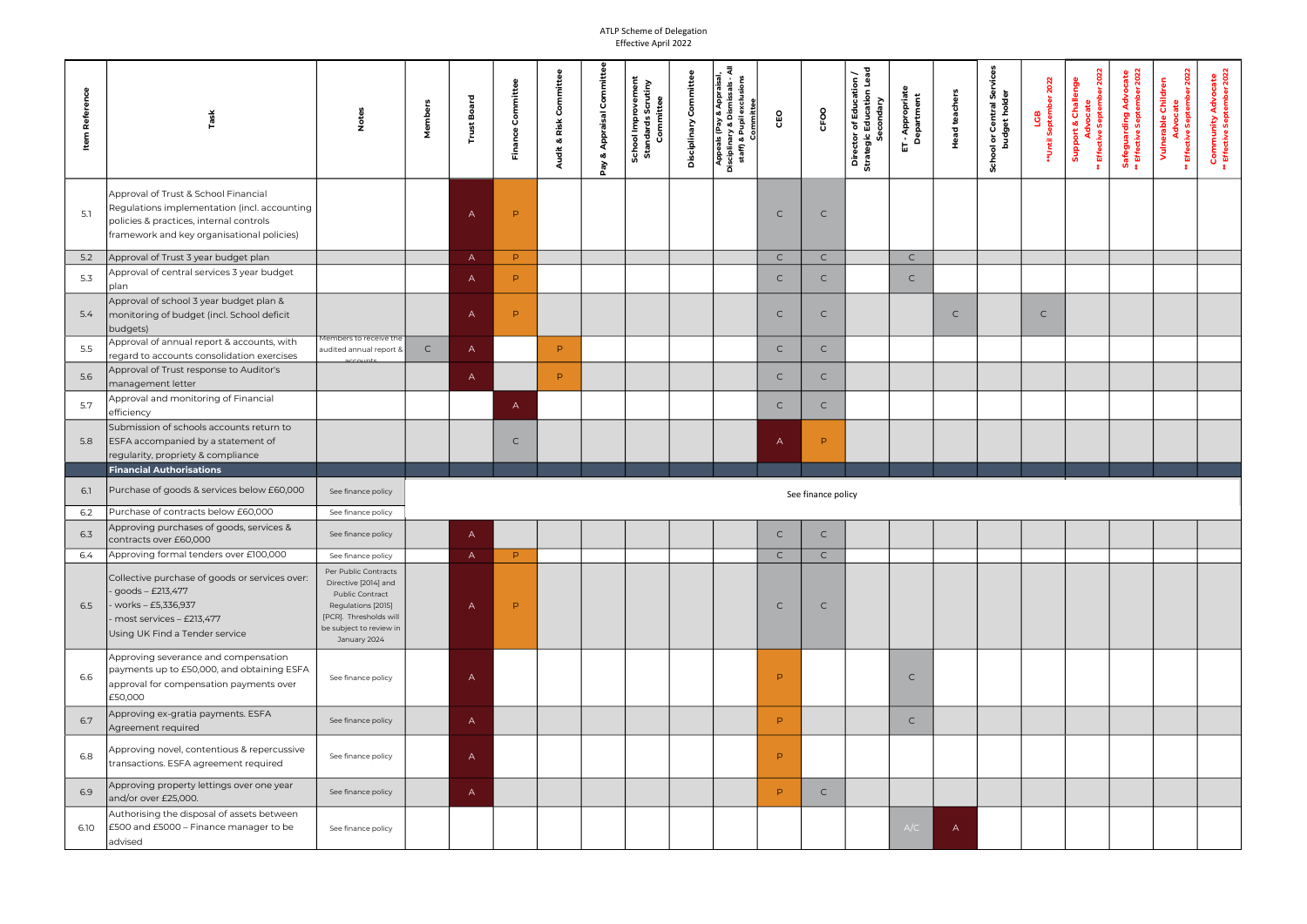| <b>Item Reference</b> |                                                                                                                                                                               | $\frac{5}{2}$                                                                                                                                                     | Membe        | å<br>Ě         | Committee<br>Finance | Audit & Risk Committee | Committ<br>Appraisal<br>œ | School Improvement<br>Standards Scrutiny<br>Committee | mittee<br>င်<br>၁<br>Disciplinary | . ই<br>Appeals (Pay<br>  Disciplinary & Dismissals - Al<br>  staff) & Pupil exclusions<br>  Committee | CEO          | CFOO               | Director of Education /<br>Strategic Education Lead<br>jic Education I<br>Secondary | T - Appropriate<br>Department<br>品 | <b>Head teachers</b> | မြိ<br>ol or Central Ser<br>budget holder<br>$\overline{z}$ | 2022<br>LGB<br>#Until Septeml | <b>ber 2022</b><br><b>Support &amp; Challenge</b><br>Advocate<br>Effective Septem | <b>Safeguarding Advocate</b><br>** Effective September 2022 | Advocate<br>ive September 2022<br>Vulnerable Children<br>Effective ! | <b>Community Advocate</b><br>** Effective September 2022 |
|-----------------------|-------------------------------------------------------------------------------------------------------------------------------------------------------------------------------|-------------------------------------------------------------------------------------------------------------------------------------------------------------------|--------------|----------------|----------------------|------------------------|---------------------------|-------------------------------------------------------|-----------------------------------|-------------------------------------------------------------------------------------------------------|--------------|--------------------|-------------------------------------------------------------------------------------|------------------------------------|----------------------|-------------------------------------------------------------|-------------------------------|-----------------------------------------------------------------------------------|-------------------------------------------------------------|----------------------------------------------------------------------|----------------------------------------------------------|
| 5.1                   | Approval of Trust & School Financial<br>Regulations implementation (incl. accounting<br>policies & practices, internal controls<br>framework and key organisational policies) |                                                                                                                                                                   |              | A              | P                    |                        | λg<br>Δ                   |                                                       |                                   |                                                                                                       | $\mathsf{C}$ | $\mathsf{C}$       |                                                                                     |                                    |                      |                                                             |                               |                                                                                   |                                                             |                                                                      |                                                          |
| 5.2                   | Approval of Trust 3 year budget plan                                                                                                                                          |                                                                                                                                                                   |              | $\mathsf{A}$   | P.                   |                        |                           |                                                       |                                   |                                                                                                       | $\mathsf{C}$ | $\mathsf{C}$       |                                                                                     | $\mathsf{C}$                       |                      |                                                             |                               |                                                                                   |                                                             |                                                                      |                                                          |
| 5.3                   | Approval of central services 3 year budget<br> plan                                                                                                                           |                                                                                                                                                                   |              | $\mathsf{A}$   | P.                   |                        |                           |                                                       |                                   |                                                                                                       | $\mathsf{C}$ | $\mathsf{C}$       |                                                                                     | $\mathsf{C}$                       |                      |                                                             |                               |                                                                                   |                                                             |                                                                      |                                                          |
| 5.4                   | Approval of school 3 year budget plan &<br>monitoring of budget (incl. School deficit<br>budgets)                                                                             |                                                                                                                                                                   |              | $\overline{A}$ | P                    |                        |                           |                                                       |                                   |                                                                                                       | $\mathsf{C}$ | $\mathsf{C}$       |                                                                                     |                                    | $\subset$            |                                                             | $\subset$                     |                                                                                   |                                                             |                                                                      |                                                          |
| 5.5                   | Approval of annual report & accounts, with<br>regard to accounts consolidation exercises                                                                                      | embers to receive the<br>audited annual report &                                                                                                                  | $\mathsf{C}$ | $\mathsf{A}$   |                      | P.                     |                           |                                                       |                                   |                                                                                                       | $\mathsf{C}$ | $\mathsf{C}$       |                                                                                     |                                    |                      |                                                             |                               |                                                                                   |                                                             |                                                                      |                                                          |
| 5.6                   | Approval of Trust response to Auditor's<br>management letter                                                                                                                  |                                                                                                                                                                   |              | $\mathsf{A}$   |                      | P                      |                           |                                                       |                                   |                                                                                                       | $\mathsf{C}$ | $\mathsf{C}$       |                                                                                     |                                    |                      |                                                             |                               |                                                                                   |                                                             |                                                                      |                                                          |
| 5.7                   | Approval and monitoring of Financial<br>efficiency                                                                                                                            |                                                                                                                                                                   |              |                | $\mathsf{A}$         |                        |                           |                                                       |                                   |                                                                                                       | $\mathsf{C}$ | $\mathsf{C}$       |                                                                                     |                                    |                      |                                                             |                               |                                                                                   |                                                             |                                                                      |                                                          |
| 5.8                   | Submission of schools accounts return to<br>ESFA accompanied by a statement of<br>regularity, propriety & compliance                                                          |                                                                                                                                                                   |              |                | $\mathsf{C}$         |                        |                           |                                                       |                                   |                                                                                                       | $\mathsf{A}$ | P.                 |                                                                                     |                                    |                      |                                                             |                               |                                                                                   |                                                             |                                                                      |                                                          |
|                       | <b>Financial Authorisations</b>                                                                                                                                               |                                                                                                                                                                   |              |                |                      |                        |                           |                                                       |                                   |                                                                                                       |              |                    |                                                                                     |                                    |                      |                                                             |                               |                                                                                   |                                                             |                                                                      |                                                          |
| 6.1                   | Purchase of goods & services below £60,000                                                                                                                                    | See finance policy                                                                                                                                                |              |                |                      |                        |                           |                                                       |                                   |                                                                                                       |              | See finance policy |                                                                                     |                                    |                      |                                                             |                               |                                                                                   |                                                             |                                                                      |                                                          |
| 6.2                   | Purchase of contracts below £60,000                                                                                                                                           | See finance policy                                                                                                                                                |              |                |                      |                        |                           |                                                       |                                   |                                                                                                       |              |                    |                                                                                     |                                    |                      |                                                             |                               |                                                                                   |                                                             |                                                                      |                                                          |
| 6.3                   | Approving purchases of goods, services &<br>contracts over £60,000                                                                                                            | See finance policy                                                                                                                                                |              | $\mathsf{A}$   |                      |                        |                           |                                                       |                                   |                                                                                                       | $\mathsf{C}$ | $\mathsf{C}$       |                                                                                     |                                    |                      |                                                             |                               |                                                                                   |                                                             |                                                                      |                                                          |
| 6.4                   | Approving formal tenders over £100,000                                                                                                                                        | See finance policy                                                                                                                                                |              | $\mathsf{A}$   | P.                   |                        |                           |                                                       |                                   |                                                                                                       | $\mathsf{C}$ | $\mathsf{C}$       |                                                                                     |                                    |                      |                                                             |                               |                                                                                   |                                                             |                                                                      |                                                          |
| 6.5                   | Collective purchase of goods or services over:<br>goods - £213,477<br>works - £5,336,937<br>most services - £213,477<br>Using UK Find a Tender service                        | Per Public Contracts<br>Directive [2014] and<br><b>Public Contract</b><br>Regulations [2015]<br>[PCR]. Thresholds will<br>be subject to review in<br>January 2024 |              | $\mathsf{A}$   | $\mathsf{P}$         |                        |                           |                                                       |                                   |                                                                                                       | $\mathsf{C}$ | $\mathsf{C}$       |                                                                                     |                                    |                      |                                                             |                               |                                                                                   |                                                             |                                                                      |                                                          |
| 6.6                   | Approving severance and compensation<br>payments up to £50,000, and obtaining ESFA<br>approval for compensation payments over<br>£50,000                                      | See finance policy                                                                                                                                                |              | $\mathsf{A}$   |                      |                        |                           |                                                       |                                   |                                                                                                       | P.           |                    |                                                                                     | $\mathsf{C}$                       |                      |                                                             |                               |                                                                                   |                                                             |                                                                      |                                                          |
| 6.7                   | Approving ex-gratia payments. ESFA<br>Agreement required                                                                                                                      | See finance policy                                                                                                                                                |              | $\mathsf{A}$   |                      |                        |                           |                                                       |                                   |                                                                                                       | P.           |                    |                                                                                     | $\mathsf{C}$                       |                      |                                                             |                               |                                                                                   |                                                             |                                                                      |                                                          |
| 6.8                   | Approving novel, contentious & repercussive<br>transactions. ESFA agreement required                                                                                          | See finance policy                                                                                                                                                |              | $\mathsf{A}$   |                      |                        |                           |                                                       |                                   |                                                                                                       | P.           |                    |                                                                                     |                                    |                      |                                                             |                               |                                                                                   |                                                             |                                                                      |                                                          |
| 6.9                   | Approving property lettings over one year<br>and/or over £25,000.                                                                                                             | See finance policy                                                                                                                                                |              | A              |                      |                        |                           |                                                       |                                   |                                                                                                       | P.           | $\mathsf{C}$       |                                                                                     |                                    |                      |                                                             |                               |                                                                                   |                                                             |                                                                      |                                                          |
| 6.10                  | Authorising the disposal of assets between<br>£500 and £5000 - Finance manager to be<br>advised                                                                               | See finance policy                                                                                                                                                |              |                |                      |                        |                           |                                                       |                                   |                                                                                                       |              |                    |                                                                                     | A/C                                | $\mathsf{A}$         |                                                             |                               |                                                                                   |                                                             |                                                                      |                                                          |